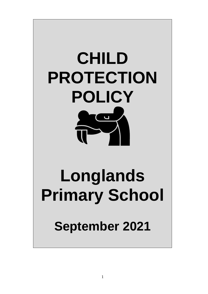

# **Longlands Primary School**

# **September 2021**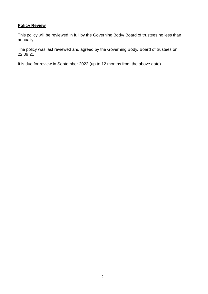# **Policy Review**

This policy will be reviewed in full by the Governing Body/ Board of trustees no less than annually.

The policy was last reviewed and agreed by the Governing Body/ Board of trustees on 22.09.21

It is due for review in September 2022 (up to 12 months from the above date).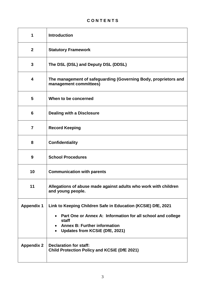# **C O N T E N T S**

| 1                 | <b>Introduction</b>                                                                                                                                                                                                        |
|-------------------|----------------------------------------------------------------------------------------------------------------------------------------------------------------------------------------------------------------------------|
| $\overline{2}$    | <b>Statutory Framework</b>                                                                                                                                                                                                 |
| 3                 | The DSL (DSL) and Deputy DSL (DDSL)                                                                                                                                                                                        |
| 4                 | The management of safeguarding (Governing Body, proprietors and<br>management committees)                                                                                                                                  |
| 5                 | When to be concerned                                                                                                                                                                                                       |
| 6                 | <b>Dealing with a Disclosure</b>                                                                                                                                                                                           |
| $\overline{7}$    | <b>Record Keeping</b>                                                                                                                                                                                                      |
| 8                 | <b>Confidentiality</b>                                                                                                                                                                                                     |
| 9                 | <b>School Procedures</b>                                                                                                                                                                                                   |
| 10                | <b>Communication with parents</b>                                                                                                                                                                                          |
| 11                | Allegations of abuse made against adults who work with children<br>and young people.                                                                                                                                       |
| <b>Appendix 1</b> | Link to Keeping Children Safe in Education (KCSIE) DfE, 2021<br>Part One or Annex A: Information for all school and college<br>$\bullet$<br>staff<br><b>Annex B: Further information</b><br>Updates from KCSiE (DfE, 2021) |
| <b>Appendix 2</b> | <b>Declaration for staff:</b><br><b>Child Protection Policy and KCSIE (DfE 2021)</b>                                                                                                                                       |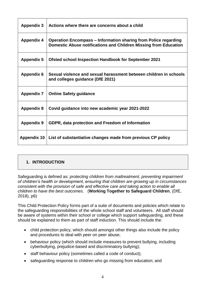| <b>Appendix 3</b>  | Actions where there are concerns about a child                                                                                             |
|--------------------|--------------------------------------------------------------------------------------------------------------------------------------------|
| <b>Appendix 4</b>  | <b>Operation Encompass – Information sharing from Police regarding</b><br>Domestic Abuse notifications and Children Missing from Education |
| <b>Appendix 5</b>  | <b>Ofsted school Inspection Handbook for September 2021</b>                                                                                |
| <b>Appendix 6</b>  | Sexual violence and sexual harassment between children in schools<br>and colleges guidance (DfE 2021)                                      |
| <b>Appendix 7</b>  | <b>Online Safety guidance</b>                                                                                                              |
| <b>Appendix 8</b>  | Covid guidance into new academic year 2021-2022                                                                                            |
| <b>Appendix 9</b>  | GDPR, data protection and Freedom of Information                                                                                           |
| <b>Appendix 10</b> | List of substantiative changes made from previous CP policy                                                                                |

# **1. INTRODUCTION**

Safeguarding is defined as: *protecting children from maltreatment, preventing impairment of children's health or development, ensuring that children are growing up in circumstances consistent with the provision of safe and effective care and taking action to enable all children to have the best outcomes.* (**Working Together to Safeguard Children**, (DfE, 2018), p6)

This Child Protection Policy forms part of a suite of documents and policies which relate to the safeguarding responsibilities of the whole school staff and volunteers. All staff should be aware of systems within their school or college which support safeguarding, and these should be explained to them as part of staff induction. This should include the:

- child protection policy, which should amongst other things also include the policy and procedures to deal with peer on peer abuse;
- behaviour policy (which should include measures to prevent bullying, including cyberbullying, prejudice-based and discriminatory bullying);
- staff behaviour policy (sometimes called a code of conduct);
- safeguarding response to children who go missing from education; and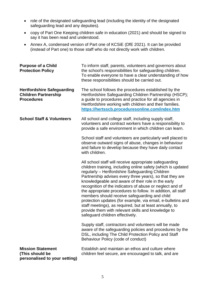- role of the designated safeguarding lead (including the identity of the designated safeguarding lead and any deputies).
- copy of Part One Keeping children safe in education (2021) and should be signed to say it has been read and understood.
- Annex A, condensed version of Part one of KCSiE (DfE 2021). It can be provided (instead of Part one) to those staff who do not directly work with children.

| <b>Purpose of a Child</b><br><b>Protection Policy</b>                                 | To inform staff, parents, volunteers and governors about<br>the school's responsibilities for safeguarding children.<br>To enable everyone to have a clear understanding of how<br>these responsibilities should be carried out.                                                                                                                                                                                                                                                                                                                                                                                                                                                            |
|---------------------------------------------------------------------------------------|---------------------------------------------------------------------------------------------------------------------------------------------------------------------------------------------------------------------------------------------------------------------------------------------------------------------------------------------------------------------------------------------------------------------------------------------------------------------------------------------------------------------------------------------------------------------------------------------------------------------------------------------------------------------------------------------|
| <b>Hertfordshire Safeguarding</b><br><b>Children Partnership</b><br><b>Procedures</b> | The school follows the procedures established by the<br>Hertfordshire Safeguarding Children Partnership (HSCP);<br>a guide to procedures and practice for all agencies in<br>Hertfordshire working with children and their families.<br>https://hertsscb.proceduresonline.com/index.htm                                                                                                                                                                                                                                                                                                                                                                                                     |
| <b>School Staff &amp; Volunteers</b>                                                  | All school and college staff, including supply staff,<br>volunteers and contract workers have a responsibility to<br>provide a safe environment in which children can learn.                                                                                                                                                                                                                                                                                                                                                                                                                                                                                                                |
|                                                                                       | School staff and volunteers are particularly well placed to<br>observe outward signs of abuse, changes in behaviour<br>and failure to develop because they have daily contact<br>with children.                                                                                                                                                                                                                                                                                                                                                                                                                                                                                             |
|                                                                                       | All school staff will receive appropriate safeguarding<br>children training, including online safety (which is updated<br>regularly - Hertfordshire Safeguarding Children<br>Partnership advises every three years), so that they are<br>knowledgeable and aware of their role in the early<br>recognition of the indicators of abuse or neglect and of<br>the appropriate procedures to follow. In addition, all staff<br>members should receive safeguarding and child<br>protection updates (for example, via email, e-bulletins and<br>staff meetings), as required, but at least annually, to<br>provide them with relevant skills and knowledge to<br>safeguard children effectively. |
|                                                                                       | Supply staff, contractors and volunteers will be made<br>aware of the safeguarding policies and procedures by the<br>DSL, including The Child Protection Policy and Staff<br>Behaviour Policy (code of conduct)                                                                                                                                                                                                                                                                                                                                                                                                                                                                             |
| <b>Mission Statement</b><br>(This should be<br>personalised to your setting)          | Establish and maintain an ethos and culture where<br>children feel secure, are encouraged to talk, and are                                                                                                                                                                                                                                                                                                                                                                                                                                                                                                                                                                                  |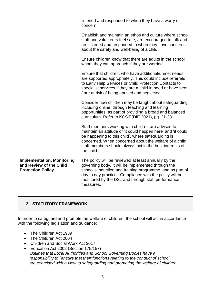listened and responded to when they have a worry or concern.

Establish and maintain an ethos and culture where school staff and volunteers feel safe, are encouraged to talk and are listened and responded to when they have concerns about the safety and well-being of a child.

Ensure children know that there are adults in the school whom they can approach if they are worried.

Ensure that children, who have additional/unmet needs are supported appropriately. This could include referrals to Early Help Services or Child Protection Contacts to specialist services if they are a child in need or have been / are at risk of being abused and neglected.

Consider how children may be taught about safeguarding, including online, through teaching and learning opportunities, as part of providing a broad and balanced curriculum. Refer to KCSiE(DfE 2021), pg. 31-33

Staff members working with children are advised to maintain an attitude of 'it could happen here' and 'it could be happening to this child', where safeguarding is concerned. When concerned about the welfare of a child, staff members should always act in the best interests of the child.

**Implementation, Monitoring and Review of the Child Protection Policy** The policy will be reviewed at least annually by the governing body. It will be implemented through the school's induction and training programme, and as part of day to day practice. Compliance with the policy will be monitored by the DSL and through staff performance measures.

# **2. STATUTORY FRAMEWORK**

In order to safeguard and promote the welfare of children, the school will act in accordance with the following legislation and guidance:

- The Children Act 1989
- The Children Act 2004
- Children and Social Work Act 2017
- Education Act 2002 (Section 175/157) *Outlines that Local Authorities and School Governing Bodies have a responsibility to "ensure that their functions relating to the conduct of school are exercised with a view to safeguarding and promoting the welfare of children*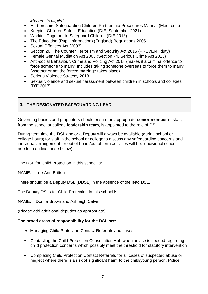*who are its pupils".* 

- Hertfordshire Safeguarding Children Partnership Procedures Manual (Electronic)
- Keeping Children Safe in Education (DfE, September 2021)
- Working Together to Safeguard Children (DfE 2018)
- The Education (Pupil Information) (England) Regulations 2005
- Sexual Offences Act (2003)
- Section 26, The Counter Terrorism and Security Act 2015 (PREVENT duty)
- Female Genital Mutilation Act 2003 (Section 74, Serious Crime Act 2015)
- Anti-social Behaviour, Crime and Policing Act 2014 (makes it a criminal offence to force someone to marry. Includes taking someone overseas to force them to marry (whether or not the forced marriage takes place).
- Serious Violence Strategy 2018
- Sexual violence and sexual harassment between children in schools and colleges (DfE 2017)

# **3. THE DESIGNATED SAFEGUARDING LEAD**

Governing bodies and proprietors should ensure an appropriate **senior member** of staff, from the school or college **leadership team**, is appointed to the role of DSL.

During term time the DSL and or a Deputy will always be available (during school or college hours) for staff in the school or college to discuss any safeguarding concerns and individual arrangement for out of hours/out of term activities will be: (individual school needs to outline these below):

The DSL for Child Protection in this school is:

NAME: Lee-Ann Britten

There should be a Deputy DSL (DDSL) in the absence of the lead DSL.

The Deputy DSLs for Child Protection in this school is:

NAME: Donna Brown and Ashleigh Calver

(Please add additional deputies as appropriate)

#### **The broad areas of responsibility for the DSL are:**

- Managing Child Protection Contact Referrals and cases
- Contacting the Child Protection Consultation Hub when advice is needed regarding child protection concerns which possibly meet the threshold for statutory intervention
- Completing Child Protection Contact Referrals for all cases of suspected abuse or neglect where there is a risk of significant harm to the child/young person, Police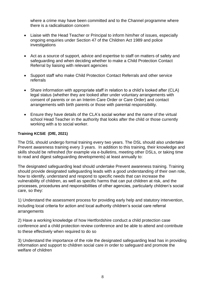where a crime may have been committed and to the Channel programme where there is a radicalisation concern

- Liaise with the Head Teacher or Principal to inform him/her of issues, especially ongoing enquiries under Section 47 of the Children Act 1989 and police investigations
- Act as a source of support, advice and expertise to staff on matters of safety and safeguarding and when deciding whether to make a Child Protection Contact Referral by liaising with relevant agencies
- Support staff who make Child Protection Contact Referrals and other service referrals
- Share information with appropriate staff in relation to a child's looked after (CLA) legal status (whether they are looked after under voluntary arrangements with consent of parents or on an Interim Care Order or Care Order) and contact arrangements with birth parents or those with parental responsibility.
- Ensure they have details of the CLA's social worker and the name of the virtual school Head Teacher in the authority that looks after the child or those currently working with a to social worker.

#### **Training KCSiE (DfE, 2021)**

The DSL should undergo formal training every two years. The DSL should also undertake Prevent awareness training every 3 years. In addition to this training, their knowledge and skills should be refreshed (for example via e-bulletins, meeting other DSLs, or taking time to read and digest safeguarding developments) at least annually to:

The designated safeguarding lead should undertake Prevent awareness training. Training should provide designated safeguarding leads with a good understanding of their own role, how to identify, understand and respond to specific needs that can increase the vulnerability of children, as well as specific harms that can put children at risk, and the processes, procedures and responsibilities of other agencies, particularly children's social care, so they:

1) Understand the assessment process for providing early help and statutory intervention, including local criteria for action and local authority children's social care referral arrangements

2) Have a working knowledge of how Hertfordshire conduct a child protection case conference and a child protection review conference and be able to attend and contribute to these effectively when required to do so

3) Understand the importance of the role the designated safeguarding lead has in providing information and support to children social care in order to safeguard and promote the welfare of children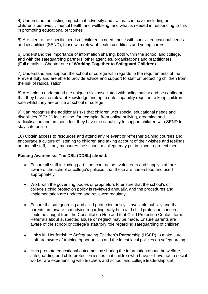4) Understand the lasting impact that adversity and trauma can have, including on children's behaviour, mental health and wellbeing, and what is needed in responding to this in promoting educational outcomes

5) Are alert to the specific needs of children in need, those with special educational needs and disabilities (SEND), those with relevant health conditions and young carers

6) Understand the importance of information sharing, both within the school and college, and with the safeguarding partners, other agencies, organisations and practitioners (Full details in Chapter one of **Working Together to Safeguard Children**)

7) Understand and support the school or college with regards to the requirements of the Prevent duty and are able to provide advice and support to staff on protecting children from the risk of radicalisation

8) Are able to understand the unique risks associated with online safety and be confident that they have the relevant knowledge and up to date capability required to keep children safe whilst they are online at school or college

9) Can recognise the additional risks that children with special educational needs and disabilities (SEND) face online, for example, from online bullying, grooming and radicalisation and are confident they have the capability to support children with SEND to stay safe online

10) Obtain access to resources and attend any relevant or refresher training courses and encourage a culture of listening to children and taking account of their wishes and feelings, among all staff, in any measures the school or college may put in place to protect them.

#### **Raising Awareness: The DSL (DDSL) should:**

- Ensure all staff including part time, contractors, volunteers and supply staff are aware of the school or college's policies, that these are understood and used appropriately.
- Work with the governing bodies or proprietors to ensure that the school's or college's child protection policy is reviewed annually, and the procedures and implementation are updated and reviewed regularly.
- Ensure the safeguarding and child protection policy is available publicly and that parents are aware that advice regarding early help and child protection concerns could be sought from the Consultation Hub and that Child Protection Contact form. Referrals about suspected abuse or neglect may be made. Ensure parents are aware of the school or college's statutory role regarding safeguarding of children.
- Link with Hertfordshire Safeguarding Children's Partnership (HSCP) to make sure staff are aware of training opportunities and the latest local policies on safeguarding.
- Help promote educational outcomes by sharing the information about the welfare, safeguarding and child protection issues that children who have or have had a social worker are experiencing with teachers and school and college leadership staff.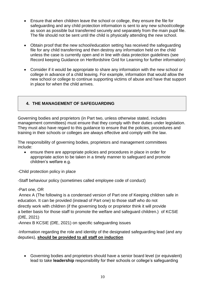- Ensure that when children leave the school or college, they ensure the file for safeguarding and any child protection information is sent to any new school/college as soon as possible but transferred securely and separately from the main pupil file. The file should not be sent until the child is physically attending the new school.
- Obtain proof that the new school/education setting has received the safeguarding file for any child transferring and then destroy any information held on the child unless the case is currently open and in line with data protection guidelines (see Record keeping Guidance on Hertfordshire Grid for Learning for further information)
- Consider if it would be appropriate to share any information with the new school or college in advance of a child leaving. For example, information that would allow the new school or college to continue supporting victims of abuse and have that support in place for when the child arrives.

# **4. THE MANAGEMENT OF SAFEGUARDING**

Governing bodies and proprietors (in Part two, unless otherwise stated, includes management committees) must ensure that they comply with their duties under legislation. They must also have regard to this guidance to ensure that the policies, procedures and training in their schools or colleges are always effective and comply with the law.

The responsibility of governing bodies, proprietors and management committees include:

 ensure there are appropriate policies and procedures in place in order for appropriate action to be taken in a timely manner to safeguard and promote children's welfare e.g.

-Child protection policy in place

-Staff behaviour policy (sometimes called employee code of conduct)

-Part one, OR

Annex A (The following is a condensed version of Part one of Keeping children safe in education. It can be provided (instead of Part one) to those staff who do not directly work with children (if the governing body or proprietor think it will provide a better basis for those staff to promote the welfare and safeguard children.) of KCSiE (DfE, 2021)

-Annex B KCSIE (DfE, 2021) on specific safeguarding issues

-Information regarding the role and identity of the designated safeguarding lead (and any deputies), **should be provided to all staff on induction**

• Governing bodies and proprietors should have a senior board level (or equivalent) lead to take **leadership** responsibility for their schools or college's safeguarding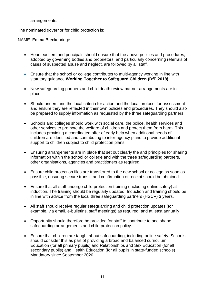arrangements.

The nominated governor for child protection is:

NAME Emma Breckenridge

- Headteachers and principals should ensure that the above policies and procedures, adopted by governing bodies and proprietors, and particularly concerning referrals of cases of suspected abuse and neglect, are followed by all staff.
- Ensure that the school or college contributes to multi-agency working in line with statutory guidance **Working Together to Safeguard Children (DfE,2018).**
- New safeguarding partners and child death review partner arrangements are in place
- Should understand the local criteria for action and the local protocol for assessment and ensure they are reflected in their own policies and procedures. They should also be prepared to supply information as requested by the three safeguarding partners
- Schools and colleges should work with social care, the police, health services and other services to promote the welfare of children and protect them from harm. This includes providing a coordinated offer of early help when additional needs of children are identified and contributing to inter-agency plans to provide additional support to children subject to child protection plans.
- Ensuring arrangements are in place that set out clearly the and principles for sharing information within the school or college and with the three safeguarding partners, other organisations, agencies and practitioners as required.
- Ensure child protection files are transferred to the new school or college as soon as possible, ensuring secure transit, and confirmation of receipt should be obtained
- Ensure that all staff undergo child protection training (including online safety) at induction. The training should be regularly updated. Induction and training should be in line with advice from the local three safeguarding partners (HSCP) 3 years.
- All staff should receive regular safeguarding and child protection updates (for example, via email, e-bulletins, staff meetings) as required, and at least annually
- Opportunity should therefore be provided for staff to contribute to and shape safeguarding arrangements and child protection policy.
- Ensure that children are taught about safeguarding, including online safety. Schools should consider this as part of providing a broad and balanced curriculum. Education (for all primary pupils) and Relationships and Sex Education (for all secondary pupils) and Health Education (for all pupils in state-funded schools) Mandatory since September 2020.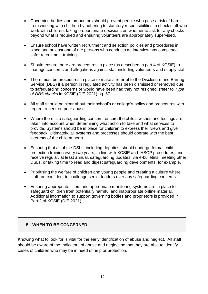- Governing bodies and proprietors should prevent people who pose a risk of harm from working with children by adhering to statutory responsibilities to check staff who work with children, taking proportionate decisions on whether to ask for any checks beyond what is required and ensuring volunteers are appropriately supervised.
- Ensure school have written recruitment and selection policies and procedures in place and at least one of the persons who conducts an interview has completed safer recruitment training
- Should ensure there are procedures in place (as described in part 4 of KCSiE) to manage concerns and allegations against staff including volunteers and supply staff
- There must be procedures in place to make a referral to the Disclosure and Barring Service (DBS) if a person in regulated activity has been dismissed or removed due to safeguarding concerns or would have been had they not resigned. (refer to *Type of DBS checks* in KCSiE (DfE 2021) pg. 57
- All staff should be clear about their school's or college's policy and procedures with regard to peer on peer abuse.
- Where there is a safeguarding concern, ensure the child's wishes and feelings are taken into account when determining what action to take and what services to provide. Systems should be in place for children to express their views and give feedback. Ultimately, all systems and processes should operate with the best interests of the child at heart.
- Ensuring that all of the DSLs, including deputies, should undergo formal child protection training every two years, in line with KCSIE and HSCP procedures, and receive regular, at least annual, safeguarding updates via e-bulletins, meeting other DSLs, or taking time to read and digest safeguarding developments, for example.
- Prioritising the welfare of children and young people and creating a culture where staff are confident to challenge senior leaders over any safeguarding concerns
- Ensuring appropriate filters and appropriate monitoring systems are in place to safeguard children from potentially harmful and inappropriate online material. Additional information to support governing bodies and proprietors is provided in Part 2 of KCSiE (DfE 2021).

# **5. WHEN TO BE CONCERNED**

Knowing what to look for is vital for the early identification of abuse and neglect. All staff should be aware of the Indicators of abuse and neglect so that they are able to identify cases of children who may be in need of help or protection.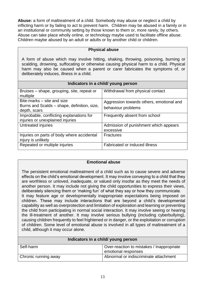**Abuse:** a form of maltreatment of a child. Somebody may abuse or neglect a child by inflicting harm or by failing to act to prevent harm. Children may be abused in a family or in an institutional or community setting by those known to them or, more rarely, by others. Abuse can take place wholly online, or technology maybe used to facilitate offline abuse. Children maybe abused by an adult or adults or by another child or children.

| <b>Physical abuse</b>                                                                                                                                                                                                                                                                                        |                                                                |  |
|--------------------------------------------------------------------------------------------------------------------------------------------------------------------------------------------------------------------------------------------------------------------------------------------------------------|----------------------------------------------------------------|--|
| A form of abuse which may involve hitting, shaking, throwing, poisoning, burning or<br>scalding, drowning, suffocating or otherwise causing physical harm to a child. Physical<br>harm may also be caused when a parent or carer fabricates the symptoms of, or<br>deliberately induces, illness in a child. |                                                                |  |
| Indicators in a child/ young person                                                                                                                                                                                                                                                                          |                                                                |  |
| Bruises – shape, grouping, site, repeat or<br>multiple                                                                                                                                                                                                                                                       | Withdrawal from physical contact                               |  |
| Bite-marks – site and size<br>Burns and Scalds – shape, definition, size,<br>depth, scars                                                                                                                                                                                                                    | Aggression towards others, emotional and<br>behaviour problems |  |
| Improbable, conflicting explanations for<br>injuries or unexplained injuries                                                                                                                                                                                                                                 | Frequently absent from school                                  |  |
| Untreated injuries                                                                                                                                                                                                                                                                                           | Admission of punishment which appears<br>excessive             |  |
| Injuries on parts of body where accidental<br>injury is unlikely                                                                                                                                                                                                                                             | <b>Fractures</b>                                               |  |
| Repeated or multiple injuries                                                                                                                                                                                                                                                                                | Fabricated or induced illness                                  |  |

#### **Emotional abuse**

The persistent emotional maltreatment of a child such as to cause severe and adverse effects on the child's emotional development. It may involve conveying to a child that they are worthless or unloved, inadequate, or valued only insofar as they meet the needs of another person. It may include not giving the child opportunities to express their views, deliberately silencing them or 'making fun' of what they say or how they communicate. It may feature age or developmentally inappropriate expectations being imposed on children. These may include interactions that are beyond a child's developmental capability as well as overprotection and limitation of exploration and learning or preventing the child from participating in normal social interaction. It may involve seeing or hearing the ill-treatment of another. It may involve serious bullying (including cyberbullying), causing children frequently to feel frightened or in danger, or the exploitation or corruption of children. Some level of emotional abuse is involved in all types of maltreatment of a child, although it may occur alone.

| Indicators in a child/ young person |                                           |  |
|-------------------------------------|-------------------------------------------|--|
| Self-harm                           | Over-reaction to mistakes / Inappropriate |  |
|                                     | emotional responses                       |  |
| Chronic running away                | Abnormal or indiscriminate attachment     |  |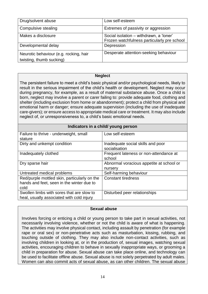| Drug/solvent abuse                                                 | Low self-esteem                                                                        |
|--------------------------------------------------------------------|----------------------------------------------------------------------------------------|
| Compulsive stealing                                                | Extremes of passivity or aggression                                                    |
| Makes a disclosure                                                 | Social isolation – withdrawn, a 'loner'<br>Frozen watchfulness particularly pre school |
| Developmental delay                                                | Depression                                                                             |
| Neurotic behaviour (e.g. rocking, hair<br>twisting, thumb sucking) | Desperate attention-seeking behaviour                                                  |

#### **Neglect**

The persistent failure to meet a child's basic physical and/or psychological needs, likely to result in the serious impairment of the child's health or development. Neglect may occur during pregnancy, for example, as a result of maternal substance abuse. Once a child is born, neglect may involve a parent or carer failing to: provide adequate food, clothing and shelter (including exclusion from home or abandonment); protect a child from physical and emotional harm or danger; ensure adequate supervision (including the use of inadequate care-givers); or ensure access to appropriate medical care or treatment. It may also include neglect of, or unresponsiveness to, a child's basic emotional needs.

| Indicators in a child/ young person          |                                          |  |
|----------------------------------------------|------------------------------------------|--|
| Failure to thrive - underweight, small       | Low self-esteem                          |  |
| stature                                      |                                          |  |
| Dirty and unkempt condition                  | Inadequate social skills and poor        |  |
|                                              | socialisation                            |  |
| Inadequately clothed                         | Frequent lateness or non-attendance at   |  |
|                                              | school                                   |  |
| Dry sparse hair                              | Abnormal voracious appetite at school or |  |
|                                              | nursery                                  |  |
| Untreated medical problems                   | Self-harming behaviour                   |  |
| Red/purple mottled skin, particularly on the | <b>Constant tiredness</b>                |  |
| hands and feet, seen in the winter due to    |                                          |  |
| cold                                         |                                          |  |
| Swollen limbs with sores that are slow to    | Disturbed peer relationships             |  |
| heal, usually associated with cold injury    |                                          |  |

#### **Sexual abuse**

Involves forcing or enticing a child or young person to take part in sexual activities, not necessarily involving violence, whether or not the child is aware of what is happening. The activities may involve physical contact, including assault by penetration (for example rape or oral sex) or non-penetrative acts such as masturbation, kissing, rubbing, and touching outside of clothing. They may also include non-contact activities, such as involving children in looking at, or in the production of, sexual images, watching sexual activities, encouraging children to behave in sexually inappropriate ways, or grooming a child in preparation for abuse. Sexual abuse can take place online, and technology can be used to facilitate offline abuse. Sexual abuse is not solely perpetrated by adult males. Women can also commit acts of sexual abuse, as can other children. The sexual abuse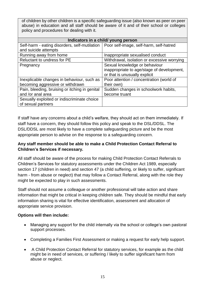of children by other children is a specific safeguarding issue (also known as peer on peer abuse) in education and all staff should be aware of it and of their school or colleges policy and procedures for dealing with it.

| Indicators in a child/ young person            |                                             |  |
|------------------------------------------------|---------------------------------------------|--|
| Self-harm - eating disorders, self-mutilation  | Poor self-image, self-harm, self-hatred     |  |
| and suicide attempts                           |                                             |  |
| Running away from home                         | Inappropriate sexualised conduct            |  |
| Reluctant to undress for PE                    | Withdrawal, isolation or excessive worrying |  |
| Pregnancy                                      | Sexual knowledge or behaviour               |  |
|                                                | inappropriate to age/stage of development,  |  |
|                                                | or that is unusually explicit               |  |
| Inexplicable changes in behaviour, such as     | Poor attention / concentration (world of    |  |
| becoming aggressive or withdrawn               | their own)                                  |  |
| Pain, bleeding, bruising or itching in genital | Sudden changes in schoolwork habits,        |  |
| and /or anal area                              | become truant                               |  |
| Sexually exploited or indiscriminate choice    |                                             |  |
| of sexual partners                             |                                             |  |

If staff have any concerns about a child's welfare, they should act on them immediately. If staff have a concern, they should follow this policy and speak to the DSL/DDSL. The DSL/DDSL are most likely to have a complete safeguarding picture and be the most appropriate person to advise on the response to a safeguarding concern.

# **Any staff member should be able to make a Child Protection Contact Referral to Children's Services if necessary.**

All staff should be aware of the process for making Child Protection Contact Referrals to Children's Services for statutory assessments under the Children Act 1989, especially section 17 (children in need) and section 47 (a child suffering, or likely to suffer, significant harm - from abuse or neglect) that may follow a Contact Referral, along with the role they might be expected to play in such assessments.

Staff should not assume a colleague or another professional will take action and share information that might be critical in keeping children safe. They should be mindful that early information sharing is vital for effective identification, assessment and allocation of appropriate service provision.

#### **Options will then include:**

- Managing any support for the child internally via the school or college's own pastoral support processes.
- Completing a Families First Assessment or making a request for early help support.
- A Child Protection Contact Referral for statutory services, for example as the child might be in need of services, or suffering / likely to suffer significant harm from abuse or neglect.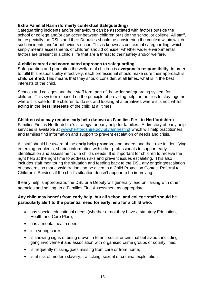#### **Extra Familial Harm (formerly contextual Safeguarding)**

Safeguarding incidents and/or behaviours can be associated with factors outside the school or college and/or can occur between children outside the school or college. All staff, but especially the DSLs and their Deputies should be considering the context within which such incidents and/or behaviours occur. This is known as contextual safeguarding, which simply means assessments of children should consider whether wider environmental factors are present in a child's life that are a threat to their safety and/or welfare.

#### **A child centred and coordinated approach to safeguarding**

Safeguarding and promoting the welfare of children is **everyone's responsibility.** In order to fulfil this responsibility effectively, each professional should make sure their approach is **child centred**. This means that they should consider, at all times, what is in the best interests of the child.

Schools and colleges and their staff form part of the wider safeguarding system for children. This system is based on the principle of providing help for families to stay together where it is safe for the children to do so, and looking at alternatives where it is not, whilst acting in the **best interests** of the child at all times.

#### **Children who may require early help (known as Families First in Hertfordshire)**

Families First is Hertfordshire's strategy for early help for families. A directory of early help services is available at [www.hertfordshire.gov.uk/familiesfirst](http://www.hertfordshire.gov.uk/familiesfirst) which will help practitioners and families find information and support to prevent escalation of needs and crisis.

All staff should be aware of the **early help process**, and understand their role in identifying emerging problems, sharing information with other professionals to support early identification and assessment of a child's needs. It is important for children to receive the right help at the right time to address risks and prevent issues escalating. This also includes staff monitoring the situation and feeding back to the DSL any ongoing/escalation of concerns so that consideration can be given to a Child Protection Contact Referral to Children's Services if the child's situation doesn't appear to be improving.

If early help is appropriate, the DSL or a Deputy will generally lead on liaising with other agencies and setting up a Families First Assessment as appropriate.

# **Any child may benefit from early help, but all school and college staff should be particularly alert to the potential need for early help for a child who:**

- has special educational needs (whether or not they have a statutory Education, Health and Care Plan);
- has a mental health need;
- is a young carer;
- is showing signs of being drawn in to anti-social or criminal behaviour, including gang involvement and association with organised crime groups or county lines;
- is frequently missing/goes missing from care or from home;
- is at risk of modern slavery, trafficking, sexual or criminal exploitation;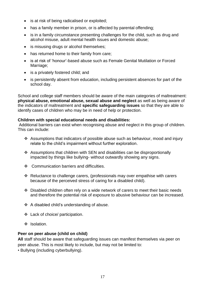- is at risk of being radicalised or exploited;
- has a family member in prison, or is affected by parental offending;
- is in a family circumstance presenting challenges for the child, such as drug and alcohol misuse, adult mental health issues and domestic abuse;
- is misusing drugs or alcohol themselves;
- has returned home to their family from care;
- is at risk of 'honour'-based abuse such as Female Genital Mutilation or Forced Marriage;
- is a privately fostered child; and
- is persistently absent from education, including persistent absences for part of the school day.

School and college staff members should be aware of the main categories of maltreatment: **physical abuse, emotional abuse, sexual abuse and neglect** as well as being aware of the indicators of maltreatment and **specific safeguarding issues** so that they are able to identify cases of children who may be in need of help or protection.

#### **Children with special educational needs and disabilities:**

Additional barriers can exist when recognising abuse and neglect in this group of children. This can include:

- \* Assumptions that indicators of possible abuse such as behaviour, mood and injury relate to the child's impairment without further exploration.
- Assumptions that children with SEN and disabilities can be disproportionally impacted by things like bullying- without outwardly showing any signs.
- ❖ Communication barriers and difficulties.
- \* Reluctance to challenge carers, (professionals may over empathise with carers because of the perceived stress of caring for a disabled child).
- Disabled children often rely on a wide network of carers to meet their basic needs and therefore the potential risk of exposure to abusive behaviour can be increased.
- A disabled child's understanding of abuse.
- Lack of choice/ participation.
- $\cdot$  Isolation.

#### **Peer on peer abuse (child on child)**

**All** staff should be aware that safeguarding issues can manifest themselves via peer on peer abuse. This is most likely to include, but may not be limited to:

• Bullying (including cyberbullying).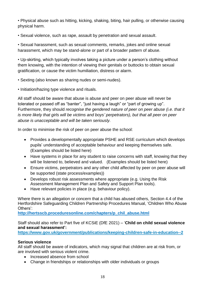• Physical abuse such as hitting, kicking, shaking, biting, hair pulling, or otherwise causing physical harm.

• Sexual violence, such as rape, assault by penetration and sexual assault.

• Sexual harassment, such as sexual comments, remarks, jokes and online sexual harassment, which may be stand-alone or part of a broader pattern of abuse.

• Up-skirting, which typically involves taking a picture under a person's clothing without them knowing, with the intention of viewing their genitals or buttocks to obtain sexual gratification, or cause the victim humiliation, distress or alarm.

• Sexting (also known as sharing nudes or semi-nudes).

• Initiation/hazing type violence and rituals.

All staff should be aware that abuse is abuse and peer on peer abuse will never be tolerated or passed off as "banter", "just having a laugh" or "part of growing up". Furthermore, they should *recognise the gendered nature of peer on peer abuse (i.e. that it is more likely that girls will be victims and boys' perpetrators), but that all peer on peer abuse is unacceptable and will be taken seriously.*

In order to minimise the risk of peer on peer abuse the school:

- Provides a developmentally appropriate PSHE and RSE curriculum which develops pupils' understanding of acceptable behaviour and keeping themselves safe. (Examples should be listed here)
- Have systems in place for any student to raise concerns with staff, knowing that they will be listened to, believed and valued. (Examples should be listed here)
- Ensure victims, perpetrators and any other child affected by peer on peer abuse will be supported (state process/examples))
- Develops robust risk assessments where appropriate (e.g. Using the Risk Assessment Management Plan and Safety and Support Plan tools).
- Have relevant policies in place (e.g. behaviour policy).

Where there is an allegation or concern that a child has abused others, Section 4.4 of the Hertfordshire Safeguarding Children Partnership Procedures Manual, 'Children Who Abuse Others':

**[http://hertsscb.proceduresonline.com/chapters/p\\_chil\\_abuse.html](http://hertsscb.proceduresonline.com/chapters/p_chil_abuse.html)**

Staff should also refer to Part five of KCSiE (DfE 2021) – '**Child on child sexual violence and sexual harassment':**

**<https://www.gov.uk/government/publications/keeping-children-safe-in-education--2>**

# **Serious violence**

All staff should be aware of indicators, which may signal that children are at risk from, or are involved with serious violent crime.

- Increased absence from school
- Change in friendships or relationships with older individuals or groups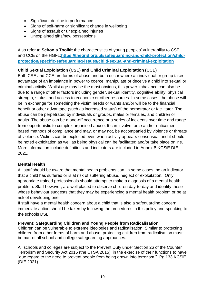- Significant decline in performance
- Signs of self-harm or significant change in wellbeing
- Signs of assault or unexplained injuries
- Unexplained gifts/new possessions

Also refer to **Schools Toolkit** the characteristics of young peoples' vulnerability to CSE and CCE on the HGFL;**[https://thegrid.org.uk/safeguarding-and-child-protection/child](https://thegrid.org.uk/safeguarding-and-child-protection/child-protection/specific-safeguarding-issues/child-sexual-and-criminal-exploitation)[protection/specific-safeguarding-issues/child-sexual-and-criminal-exploitation](https://thegrid.org.uk/safeguarding-and-child-protection/child-protection/specific-safeguarding-issues/child-sexual-and-criminal-exploitation)**

# **Child Sexual Exploitation (CSE) and Child Criminal Exploitation (CCE)**

Both CSE and CCE are forms of abuse and both occur where an individual or group takes advantage of an imbalance in power to coerce, manipulate or deceive a child into sexual or criminal activity. Whilst age may be the most obvious, this power imbalance can also be due to a range of other factors including gender, sexual identity, cognitive ability, physical strength, status, and access to economic or other resources. In some cases, the abuse will be in exchange for something the victim needs or wants and/or will be to the financial benefit or other advantage (such as increased status) of the perpetrator or facilitator. The abuse can be perpetrated by individuals or groups, males or females, and children or adults. The abuse can be a one-off occurrence or a series of incidents over time and range from opportunistic to complex organised abuse. It can involve force and/or enticementbased methods of compliance and may, or may not, be accompanied by violence or threats of violence. Victims can be exploited even when activity appears consensual and it should be noted exploitation as well as being physical can be facilitated and/or take place online. More information include definitions and indicators are included in Annex B KCSiE DfE 2021.

#### **Mental Health**

All staff should be aware that mental health problems can, in some cases, be an indicator that a child has suffered or is at risk of suffering abuse, neglect or exploitation. Only appropriate trained professionals should attempt to make a diagnosis of a mental health problem. Staff however, are well placed to observe children day-to-day and identify those whose behaviour suggests that they may be experiencing a mental health problem or be at risk of developing one.

If staff have a mental health concern about a child that is also a safeguarding concern, immediate action should be taken by following the procedures in this policy and speaking to the schools DSL.

#### **Prevent: Safeguarding Children and Young People from Radicalisation**

Children can be vulnerable to extreme ideologies and radicalisation. Similar to protecting children from other forms of harm and abuse, protecting children from radicalisation must be part of all school and college safeguarding approaches.

All schools and colleges are subject to the Prevent Duty under Section 26 of the Counter Terrorism and Security Act 2015 (the CTSA 2015), in the exercise of their functions to have "due regard to the need to prevent people from being drawn into terrorism." Pg 133 KCSiE (DfE 2021).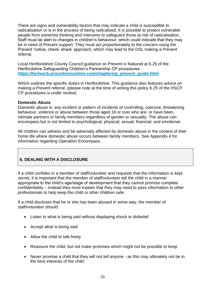There are signs and vulnerability factors that may indicate a child is susceptible to radicalisation or is in the process of being radicalised. It is possible to protect vulnerable people from extremist thinking and intervene to safeguard those at risk of radicalisation. Staff must be alert to changes in children's behaviour, which could indicate that they may be in need of Prevent support. They must act proportionately to the concern using the Prevent 'notice, check, share' approach, which may lead to the DSL making a Prevent referral.

Local Hertfordshire County Council guidance on Prevent is featured at 6.25 of the Hertfordshire Safeguarding Children's Partnership CP procedures **[https://hertsscb.proceduresonline.com/chapters/p\\_prevent\\_guide.html](https://hertsscb.proceduresonline.com/chapters/p_prevent_guide.html)**

Which outlines the specific duties in Hertfordshire. This guidance also features advice on making a Prevent referral. (please note at the time of writing this policy 6.25 of the HSCP CP procedures is under review)

#### **Domestic Abuse**

Domestic abuse is: any incident or pattern of incidents of controlling, coercive, threatening behaviour, violence or abuse between those aged 16 or over who are, or have been, intimate partners or family members regardless of gender or sexuality. The abuse can encompass but is not limited to psychological; physical; sexual; financial; and emotional.

All children can witness and be adversely affected by domestic abuse in the context of their home life where domestic abuse occurs between family members. See Appendix 4 for information regarding Operation Encompass.

# **6. DEALING WITH A DISCLOSURE**

If a child confides in a member of staff/volunteer and requests that the information is kept secret, it is important that the member of staff/volunteer tell the child in a manner appropriate to the child's age/stage of development that they cannot promise complete confidentiality – instead they must explain that they may need to pass information to other professionals to help keep the child or other children safe.

If a child discloses that he or she has been abused in some way, the member of staff/volunteer should:

- Listen to what is being said without displaying shock or disbelief
- Accept what is being said
- Allow the child to talk freely
- Reassure the child, but not make promises which might not be possible to keep
- Never promise a child that they will not tell anyone as this may ultimately not be in the best interests of the child.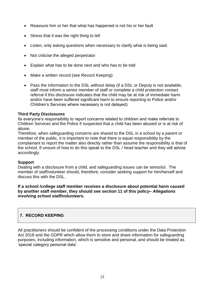- Reassure him or her that what has happened is not his or her fault
- Stress that it was the right thing to tell
- Listen, only asking questions when necessary to clarify what is being said.
- Not criticise the alleged perpetrator
- Explain what has to be done next and who has to be told
- Make a written record (see Record Keeping)
- Pass the information to the DSL without delay (if a DSL or Deputy is not available, staff must inform a senior member of staff or complete a child protection contact referral if this disclosure indicates that the child may be at risk of immediate harm and/or have been suffered significant harm to ensure reporting to Police and/or Children's Services where necessary is not delayed)

# **Third Party Disclosures**

Its everyone's responsibility to report concerns related to children and make referrals to Children Services and the Police if suspected that a child has been abused or is at risk of abuse.

Therefore, when safeguarding concerns are shared to the DSL in a school by a parent or member of the public, it is important to note that there is equal responsibility by the complainant to report the matter also directly rather than assume the responsibility is that of the school. If unsure of how to do this speak to the DSL / head teacher and they will advise accordingly.

#### **Support**

Dealing with a disclosure from a child, and safeguarding issues can be stressful. The member of staff/volunteer should, therefore, consider seeking support for him/herself and discuss this with the DSL.

**If a school /college staff member receives a disclosure about potential harm caused by another staff member, they should see section 11 of this policy–** *Allegations involving school staff/volunteers.* 

# **7. RECORD KEEPING**

All practitioners should be confident of the processing conditions under the Data Protection Act 2018 and the GDPR which allow them to store and share information for safeguarding purposes, including information, which is sensitive and personal, and should be treated as 'special category personal data'.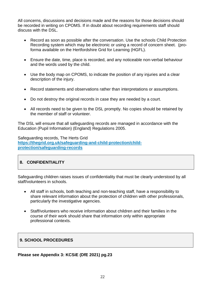All concerns, discussions and decisions made and the reasons for those decisions should be recorded in writing on CPOMS. If in doubt about recording requirements staff should discuss with the DSL.

- Record as soon as possible after the conversation. Use the schools Child Protection Recording system which may be electronic or using a record of concern sheet. (proforma available on the Hertfordshire Grid for Learning (HGFL).
- Ensure the date, time, place is recorded, and any noticeable non-verbal behaviour and the words used by the child.
- Use the body map on CPOMS, to indicate the position of any injuries and a clear description of the injury.
- Record statements and observations rather than interpretations or assumptions.
- Do not destroy the original records in case they are needed by a court.
- All records need to be given to the DSL promptly. No copies should be retained by the member of staff or volunteer.

The DSL will ensure that all safeguarding records are managed in accordance with the Education (Pupil Information) (England) Regulations 2005.

Safeguarding records, The Herts Grid **[https://thegrid.org.uk/safeguarding-and-child-protection/child](https://thegrid.org.uk/safeguarding-and-child-protection/child-protection/safeguarding-records)[protection/safeguarding-records](https://thegrid.org.uk/safeguarding-and-child-protection/child-protection/safeguarding-records)**

# **8. CONFIDENTIALITY**

Safeguarding children raises issues of confidentiality that must be clearly understood by all staff/volunteers in schools.

- All staff in schools, both teaching and non-teaching staff, have a responsibility to share relevant information about the protection of children with other professionals, particularly the investigative agencies.
- Staff/volunteers who receive information about children and their families in the course of their work should share that information only within appropriate professional contexts.

#### **9. SCHOOL PROCEDURES**

#### **Please see Appendix 3: KCSiE (DfE 2021) pg.23**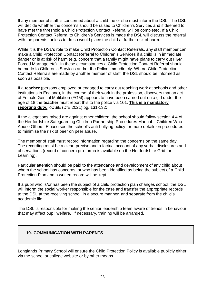If any member of staff is concerned about a child, he or she must inform the DSL. The DSL will decide whether the concerns should be raised to Children's Services and if deemed to have met the threshold a Child Protection Contact Referral will be completed. If a Child Protection Contact Referral to Children's Services is made the DSL will discuss the referral with the parents, unless to do so would place the child at further risk of harm.

While it is the DSL's role to make Child Protection Contact Referrals, any staff member can make a Child Protection Contact Referral to Children's Services if a child is in immediate danger or is at risk of harm (e.g. concern that a family might have plans to carry out FGM, Forced Marriage etc). In these circumstances a Child Protection Contact Referral should be made to Children's Services and/or the Police immediately. Where Child Protection Contact Referrals are made by another member of staff, the DSL should be informed as soon as possible.

If a **teacher** (persons employed or engaged to carry out teaching work at schools and other institutions in England), in the course of their work in the profession, discovers that an act of Female Genital Mutilation (FGM) appears to have been carried out on a girl under the age of 18 the **teacher** must report this to the police via 101. **This is a mandatory reporting duty.** KCSiE (DfE 2021) pg. 131-132:

If the allegations raised are against other children, the school should follow section 4.4 of the Hertfordshire Safeguarding Children Partnership Procedures Manual – Children Who Abuse Others. Please see the school's anti-bullying policy for more details on procedures to minimise the risk of peer on peer abuse.

The member of staff must record information regarding the concerns on the same day. The recording must be a clear, precise and a factual account of any verbal disclosures and observations (record of concern pro-forma is available on the Hertfordshire Grid for Learning).

Particular attention should be paid to the attendance and development of any child about whom the school has concerns, or who has been identified as being the subject of a Child Protection Plan and a written record will be kept.

If a pupil who is/or has been the subject of a child protection plan changes school, the DSL will inform the social worker responsible for the case and transfer the appropriate records to the DSL at the receiving school, in a secure manner, and separate from the child's academic file.

The DSL is responsible for making the senior leadership team aware of trends in behaviour that may affect pupil welfare. If necessary, training will be arranged.

#### **10. COMMUNICATION WITH PARENTS**

Longlands Primary School will ensure the Child Protection Policy is available publicly either via the school or college website or by other means.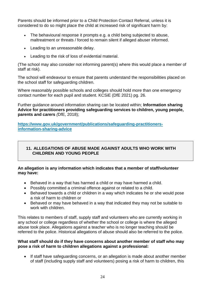Parents should be informed prior to a Child Protection Contact Referral, unless it is considered to do so might place the child at increased risk of significant harm by:

- The behavioural response it prompts e.g. a child being subjected to abuse, maltreatment or threats / forced to remain silent if alleged abuser informed.
- Leading to an unreasonable delay.
- Leading to the risk of loss of evidential material.

(The school may also consider not informing parent(s) where this would place a member of staff at risk).

The school will endeavour to ensure that parents understand the responsibilities placed on the school staff for safeguarding children.

Where reasonably possible schools and colleges should hold more than one emergency contact number for each pupil and student. KCSiE (DfE 2021) pg. 26.

Further guidance around information sharing can be located within; **Information sharing Advice for practitioners providing safeguarding services to children, young people, parents and carers** *(*DfE, 2018);

**[https://www.gov.uk/government/publications/safeguarding-practitioners](https://www.gov.uk/government/publications/safeguarding-practitioners-information-sharing-advice)[information-sharing-advice](https://www.gov.uk/government/publications/safeguarding-practitioners-information-sharing-advice)**

# **11. ALLEGATIONS OF ABUSE MADE AGAINST ADULTS WHO WORK WITH CHILDREN AND YOUNG PEOPLE**

#### **An allegation is any information which indicates that a member of staff/volunteer may have:**

- Behaved in a way that has harmed a child or may have harmed a child.
- Possibly committed a criminal offence against or related to a child.
- Behaved towards a child or children in a way which indicates he or she would pose a risk of harm to children or
- Behaved or may have behaved in a way that indicated they may not be suitable to work with children.

This relates to members of staff, supply staff and volunteers who are currently working in any school or college regardless of whether the school or college is where the alleged abuse took place. Allegations against a teacher who is no longer teaching should be referred to the police. Historical allegations of abuse should also be referred to the police.

#### **What staff should do if they have concerns about another member of staff who may pose a risk of harm to children allegations against a professional:**

 If staff have safeguarding concerns, or an allegation is made about another member of staff (including supply staff and volunteers) posing a risk of harm to children, this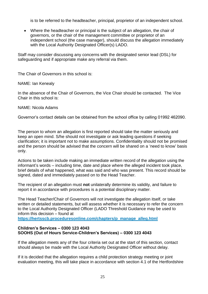is to be referred to the headteacher, principal, proprietor of an independent school.

 Where the headteacher or principal is the subject of an allegation, the chair of governors, or the chair of the management committee or proprietor of an independent school (the case manager), should discuss the allegation immediately with the Local Authority Designated Officer(s) LADO.

Staff may consider discussing any concerns with the designated senior lead (DSL) for safeguarding and if appropriate make any referral via them.

The Chair of Governors in this school is:

NAME: Ian Kenealy

In the absence of the Chair of Governors, the Vice Chair should be contacted. The Vice Chair in this school is:

#### NAME: Nicola Adams

Governor's contact details can be obtained from the school office by calling 01992 462090.

The person to whom an allegation is first reported should take the matter seriously and keep an open mind. S/he should not investigate or ask leading questions if seeking clarification; it is important not to make assumptions. Confidentiality should not be promised and the person should be advised that the concern will be shared on a 'need to know' basis only.

Actions to be taken include making an immediate written record of the allegation using the informant's words – including time, date and place where the alleged incident took place, brief details of what happened, what was said and who was present. This record should be signed, dated and immediately passed on to the Head Teacher.

The recipient of an allegation must **not** unilaterally determine its validity, and failure to report it in accordance with procedures is a potential disciplinary matter.

The Head Teacher/Chair of Governors will not investigate the allegation itself, or take written or detailed statements, but will assess whether it is necessary to refer the concern to the Local Authority Designated Officer (LADO Threshold Guidance may be used to inform this decision – found at

**[https://hertsscb.proceduresonline.com/chapters/p\\_manage\\_alleg.html](https://hertsscb.proceduresonline.com/chapters/p_manage_alleg.html)**

#### **Children's Services – 0300 123 4043 SOOHS (Out of Hours Service-Children's Services) – 0300 123 4043**

If the allegation meets any of the four criteria set out at the start of this section, contact should always be made with the Local Authority Designated Officer without delay.

If it is decided that the allegation requires a child protection strategy meeting or joint evaluation meeting, this will take place in accordance with section 4.1 of the Hertfordshire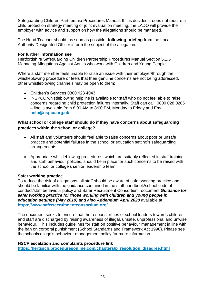Safeguarding Children Partnership Procedures Manual. If it is decided it does not require a child protection strategy meeting or joint evaluation meeting, the LADO will provide the employer with advice and support on how the allegations should be managed.

The Head Teacher should, as soon as possible, **following briefing** from the Local Authority Designated Officer inform the subject of the allegation.

#### **For further information see**

Hertfordshire Safeguarding Children Partnership Procedures Manual Section 5.1.5 [Managing Allegations Against Adults who work with Children and Young People](http://www.proceduresonline.com/herts_scb/chapters/p_manage_alleg.html) 

Where a staff member feels unable to raise an issue with their employer/through the whistleblowing procedure or feels that their genuine concerns are not being addressed, other whistleblowing channels may be open to them:

- Children's Services 0300 123 4043
- NSPCC whistleblowing helpline is available for staff who do not feel able to raise concerns regarding child protection failures internally. Staff can call: 0800 028 0285 – line is available from 8:00 AM to 8:00 PM, Monday to Friday and Email: **[help@nspcc.org.uk](mailto:help@nspcc.org.uk)**

#### **What school or college staff should do if they have concerns about safeguarding practices within the school or college?**

- All staff and volunteers should feel able to raise concerns about poor or unsafe practice and potential failures in the school or education setting's safeguarding arrangements.
- Appropriate whistleblowing procedures, which are suitably reflected in staff training and staff behaviour policies, should be in place for such concerns to be raised with the school or college's senior leadership team.

#### **Safer working practice**

To reduce the risk of allegations, all staff should be aware of safer working practice and should be familiar with the guidance contained in the staff handbook/school code of conduct/staff behaviour policy and Safer Recruitment Consortium document *Guidance for safer working practice for those working with children and young people in education settings (May 2019) and also Addendum April 2020* available at **<https://www.saferrecruitmentconsortium.org/>**

The document seeks to ensure that the responsibilities of school leaders towards children and staff are discharged by raising awareness of illegal, unsafe, unprofessional and unwise behaviour. This includes guidelines for staff on positive behaviour management in line with the ban on corporal punishment **(**School Standards and Framework Act 1998**).** Please see the school/college's behaviour management policy for more information.

#### **HSCP escalation and complaints procedure link**

**[https://hertsscb.proceduresonline.com/chapters/p\\_resolution\\_disagree.html](https://hertsscb.proceduresonline.com/chapters/p_resolution_disagree.html)**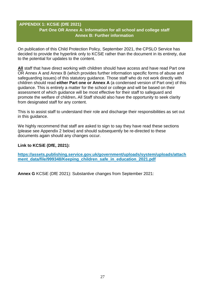# **APPENDIX 1: KCSiE (DfE 2021) Part One OR Annex A: Information for all school and college staff Annex B: Further information**

On publication of this Child Protection Policy, September 2021, the CPSLO Service has decided to provide the hyperlink only to KCSiE rather than the document in its entirety, due to the potential for updates to the content.

**All** staff that have direct working with children should have access and have read Part one OR Annex A and Annex B (which provides further information specific forms of abuse and safeguarding issues) of this statutory guidance. Those staff who do not work directly with children should read **either Part one or Annex A** (a condensed version of Part one) of this guidance. This is entirely a matter for the school or college and will be based on their assessment of which guidance will be most effective for their staff to safeguard and promote the welfare of children**.** All Staff should also have the opportunity to seek clarity from designated staff for any content.

This is to assist staff to understand their role and discharge their responsibilities as set out in this guidance.

We highly recommend that staff are asked to sign to say they have read these sections (please see Appendix 2 below) and should subsequently be re-directed to these documents again should any changes occur.

#### **Link to KCSiE (DfE, 2021):**

**[https://assets.publishing.service.gov.uk/government/uploads/system/uploads/attach](https://assets.publishing.service.gov.uk/government/uploads/system/uploads/attachment_data/file/999348/Keeping_children_safe_in_education_2021.pdf)** ment data/file/999348/Keeping children safe in education 2021.pdf

**Annex G** KCSiE (DfE 2021): Substantive changes from September 2021: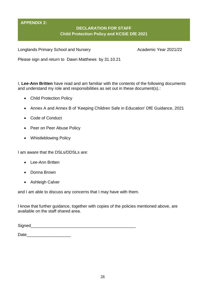# **APPENDIX 2:**

# **DECLARATION FOR STAFF Child Protection Policy and KCSiE DfE 2021**

Longlands Primary School and Nursery **Academic Year 2021/22** 

Please sign and return to Dawn Matthews by 31.10.21

I, **Lee-Ann Britten** have read and am familiar with the contents of the following documents and understand my role and responsibilities as set out in these document(s).:

- Child Protection Policy
- Annex A and Annex B of 'Keeping Children Safe in Education' DfE Guidance, 2021
- Code of Conduct
- Peer on Peer Abuse Policy
- Whistleblowing Policy

I am aware that the DSLs/DDSLs are:

- Lee-Ann Britten
- Donna Brown
- Ashleigh Calver

and I am able to discuss any concerns that I may have with them.

I know that further guidance, together with copies of the policies mentioned above, are available on the staff shared area.

| Signed |  |  |  |
|--------|--|--|--|
|        |  |  |  |

Date\_\_\_\_\_\_\_\_\_\_\_\_\_\_\_\_\_\_\_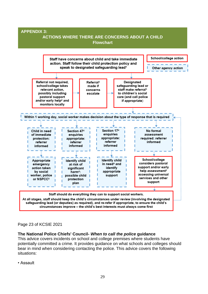

# Page 23 of KCSIE 2021

#### **The National Police Chiefs' Council-** *When to call the police* **guidance**

This advice covers incidents on school and college premises where students have potentially committed a crime. It provides guidance on what schools and colleges should bear in mind when considering contacting the police. This advice covers the following situations:

• Assault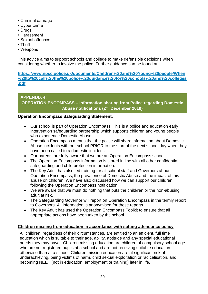- Criminal damage
- Cyber crime
- Drugs
- Harassment
- Sexual offences
- Theft
- Weapons

This advice aims to support schools and college to make defensible decisions when considering whether to involve the police. Further guidance can be found at;

**[https://www.npcc.police.uk/documents/Children%20and%20Young%20people/When](https://www.npcc.police.uk/documents/Children%20and%20Young%20people/When%20to%20call%20the%20police%20guidance%20for%20schools%20and%20colleges.pdf) [%20to%20call%20the%20police%20guidance%20for%20schools%20and%20colleges](https://www.npcc.police.uk/documents/Children%20and%20Young%20people/When%20to%20call%20the%20police%20guidance%20for%20schools%20and%20colleges.pdf) [.pdf](https://www.npcc.police.uk/documents/Children%20and%20Young%20people/When%20to%20call%20the%20police%20guidance%20for%20schools%20and%20colleges.pdf)**

# **APPENDIX 4: OPERATION ENCOMPASS – Information sharing from Police regarding Domestic Abuse notifications (2nd December 2019)**

# **Operation Encompass Safeguarding Statement:**

- Our school is part of Operation Encompass. This is a police and education early intervention safeguarding partnership which supports children and young people who experience Domestic Abuse.
- Operation Encompass means that the police will share information about Domestic Abuse incidents with our school PRIOR to the start of the next school day when they have been called to a domestic incident.
- Our parents are fully aware that we are an Operation Encompass school.
- The Operation Encompass information is stored in line with all other confidential safeguarding and child protection information.
- The Key Adult has also led training for all school staff and Governors about Operation Encompass, the prevalence of Domestic Abuse and the impact of this abuse on children. We have also discussed how we can support our children following the Operation Encompass notification.
- We are aware that we must do nothing that puts the child/ren or the non-abusing adult at risk.
- The Safeguarding Governor will report on Operation Encompass in the termly report to Governors. All information is anonymised for these reports.
- The Key Adult has used the Operation Encompass Toolkit to ensure that all appropriate actions have been taken by the school

# **Children missing from education in accordance with setting attendance policy**

All children, regardless of their circumstances, are entitled to an efficient, full time education which is suitable to their age, ability, aptitude and any special educational needs they may have. Children missing education are children of compulsory school age who are not registered pupils at a school and are not receiving suitable education otherwise than at a school. Children missing education are at significant risk of underachieving, being victims of harm, child sexual exploitation or radicalisation, and becoming NEET (not in education, employment or training) later in life.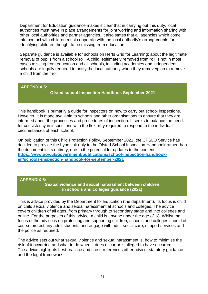Department for Education guidance makes it clear that in carrying out this duty, local authorities must have in place arrangements for joint working and information sharing with other local authorities and partner agencies. It also states that all agencies which come into contact with children must cooperate with the local authority's arrangements for identifying children thought to be missing from education.

Separate guidance is available for schools on Herts Grid for Learning; about the legitimate removal of pupils from a school roll. A child legitimately removed from roll is not in most cases missing from education and all schools, including academies and independent schools are legally required to notify the local authority when they remove/plan to remove a child from their roll.

#### **APPENDIX 5:**

**Ofsted school Inspection Handbook September 2021**

This handbook is primarily a guide for inspectors on how to carry out school inspections. However, it is made available to schools and other organisations to ensure that they are informed about the processes and procedures of inspection. It seeks to balance the need for consistency in inspections with the flexibility required to respond to the individual circumstances of each school.

On publication of this Child Protection Policy, September 2021, the CPSLO Service has decided to provide the hyperlink only to the Ofsted School Inspection Handbook rather than the document in its entirety, due to the potential for updates to the content. **[https://www.gov.uk/government/publications/school-inspection-handbook](https://www.gov.uk/government/publications/school-inspection-handbook-eif/schools-inspection-handbook-for-september-2021)[eif/schools-inspection-handbook-for-september-2021](https://www.gov.uk/government/publications/school-inspection-handbook-eif/schools-inspection-handbook-for-september-2021)**

#### **APPENDIX 6:**

**Sexual violence and sexual harassment between children in schools and colleges guidance (2021)**

This is advice provided by the Department for Education (the department). Its focus is child on child sexual violence and sexual harassment at schools and colleges. The advice covers children of all ages, from primary through to secondary stage and into colleges and online. For the purposes of this advice, a child is anyone under the age of 18. Whilst the focus of the advice is on protecting and supporting children, schools and colleges should of course protect any adult students and engage with adult social care, support services and the police as required.

The advice sets out what sexual violence and sexual harassment is, how to minimise the risk of it occurring and what to do when it does occur or is alleged to have occurred. The advice highlights best practice and cross-references other advice, statutory guidance and the legal framework.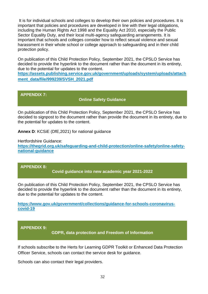It is for individual schools and colleges to develop their own policies and procedures. It is important that policies and procedures are developed in line with their legal obligations, including the Human Rights Act 1998 and the Equality Act 2010, especially the Public Sector Equality Duty, and their local multi-agency safeguarding arrangements. It is important that schools and colleges consider how to reflect sexual violence and sexual harassment in their whole school or college approach to safeguarding and in their child protection policy.

On publication of this Child Protection Policy, September 2021, the CPSLO Service has decided to provide the hyperlink to the document rather than the document in its entirety, due to the potential for updates to the content.

**[https://assets.publishing.service.gov.uk/government/uploads/system/uploads/attach](https://assets.publishing.service.gov.uk/government/uploads/system/uploads/attachment_data/file/999239/SVSH_2021.pdf) [ment\\_data/file/999239/SVSH\\_2021.pdf](https://assets.publishing.service.gov.uk/government/uploads/system/uploads/attachment_data/file/999239/SVSH_2021.pdf)**

#### **APPENDIX 7:**

#### **Online Safety Guidance**

On publication of this Child Protection Policy, September 2021, the CPSLO Service has decided to signpost to the document rather than provide the document in its entirety, due to the potential for updates to the content.

**Annex D**: KCSiE (DfE,2021) for national guidance

Hertfordshire Guidance: **[https://thegrid.org.uk/safeguarding-and-child-protection/online-safety/online-safety](https://thegrid.org.uk/safeguarding-and-child-protection/online-safety/online-safety-national-guidance)[national-guidance](https://thegrid.org.uk/safeguarding-and-child-protection/online-safety/online-safety-national-guidance)**

#### **APPENDIX 8:**

**Covid guidance into new academic year 2021-2022**

On publication of this Child Protection Policy, September 2021, the CPSLO Service has decided to provide the hyperlink to the document rather than the document in its entirety, due to the potential for updates to the content.

**[https://www.gov.uk/government/collections/guidance-for-schools-coronavirus](https://www.gov.uk/government/collections/guidance-for-schools-coronavirus-covid-19)[covid-19](https://www.gov.uk/government/collections/guidance-for-schools-coronavirus-covid-19)**

#### **APPENDIX 9:**

**GDPR, data protection and Freedom of Information**

If schools subscribe to the Herts for Learning GDPR Toolkit or Enhanced Data Protection Officer Service, schools can contact the service desk for guidance.

Schools can also contact their legal providers.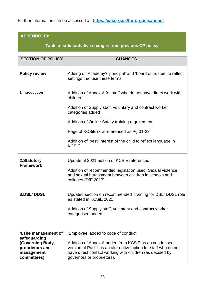Further information can be accessed at; **<https://ico.org.uk/for-organisations/>**

# **APPENDIX 10:**

**Table of substantiative changes from previous CP policy**

| <b>SECTION OF POLICY</b>                                         | <b>CHANGES</b>                                                                                                                                                                                                    |
|------------------------------------------------------------------|-------------------------------------------------------------------------------------------------------------------------------------------------------------------------------------------------------------------|
| <b>Policy review</b>                                             | Adding of 'Academy'/ 'principal' and 'board of trustee' to reflect<br>settings that use these terms                                                                                                               |
| 1.Introduction                                                   | Addition of Annex A for staff who do not have direct work with<br>children                                                                                                                                        |
|                                                                  | Addition of Supply staff, voluntary and contract worker<br>categories added                                                                                                                                       |
|                                                                  | Addition of Online Safety training requirement                                                                                                                                                                    |
|                                                                  | Page of KCSiE now referenced as Pg 31-33                                                                                                                                                                          |
|                                                                  | Addition of 'best' interest of the child to reflect language in<br>KCSiE.                                                                                                                                         |
| 2. Statutory<br><b>Framework</b>                                 | Update pf 2021 edition of KCSiE referenced                                                                                                                                                                        |
|                                                                  | Addition of recommended legislation used; Sexual violence<br>and sexual harassment between children in schools and<br>colleges (DfE 2017)                                                                         |
| 3.DSL/DDSL                                                       | Updated section on recommended Training for DSL/ DDSL role<br>as stated in KCSiE 2021                                                                                                                             |
|                                                                  | Addition of Supply staff, voluntary and contract worker<br>categorised added.                                                                                                                                     |
|                                                                  |                                                                                                                                                                                                                   |
| 4. The management of<br>safeguarding                             | 'Employee' added to code of conduct                                                                                                                                                                               |
| (Governing Body,<br>proprietors and<br>management<br>committees) | Addition of Annex A added from KCSiE as an condensed<br>version of Part 1 as an alternative option for staff who do not<br>have direct contact working with children (as decided by<br>governors or proprietors). |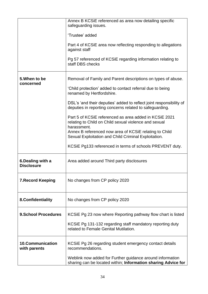|                                         | Annex B KCSiE referenced as area now detailing specific<br>safeguarding issues.<br>'Trustee' added<br>Part 4 of KCSiE area now reflecting responding to allegations<br>against staff<br>Pg 57 referenced of KCSIE regarding information relating to<br>staff DBS checks                                                                                                                                                                                                                                                                                                                                  |
|-----------------------------------------|----------------------------------------------------------------------------------------------------------------------------------------------------------------------------------------------------------------------------------------------------------------------------------------------------------------------------------------------------------------------------------------------------------------------------------------------------------------------------------------------------------------------------------------------------------------------------------------------------------|
| 5. When to be<br>concerned              | Removal of Family and Parent descriptions on types of abuse.<br>'Child protection' added to contact referral due to being<br>renamed by Hertfordshire.<br>DSL's 'and their deputies' added to reflect joint responsibility of<br>deputies in reporting concerns related to safeguarding.<br>Part 5 of KCSIE referenced as area added in KCSIE 2021<br>relating to Child on Child sexual violence and sexual<br>harassment.<br>Annex B referenced now area of KCSIE relating to Child<br>Sexual Exploitation and Child Criminal Exploitation.<br>KCSIE Pg133 referenced in terms of schools PREVENT duty. |
| 6. Dealing with a<br><b>Disclosure</b>  | Area added around Third party disclosures                                                                                                                                                                                                                                                                                                                                                                                                                                                                                                                                                                |
| <b>7. Record Keeping</b>                | No changes from CP policy 2020                                                                                                                                                                                                                                                                                                                                                                                                                                                                                                                                                                           |
| 8. Confidentiality                      | No changes from CP policy 2020                                                                                                                                                                                                                                                                                                                                                                                                                                                                                                                                                                           |
| <b>9.School Procedures</b>              | KCSIE Pg 23 now where Reporting pathway flow chart is listed<br>KCSIE Pg 131-132 regarding staff mandatory reporting duty<br>related to Female Genital Mutilation.                                                                                                                                                                                                                                                                                                                                                                                                                                       |
| <b>10.Communication</b><br>with parents | KCSIE Pg 26 regarding student emergency contact details<br>recommendations.<br>Weblink now added for Further guidance around information<br>sharing can be located within; Information sharing Advice for                                                                                                                                                                                                                                                                                                                                                                                                |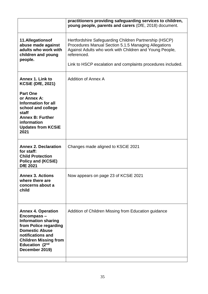| practitioners providing safeguarding services to children,<br>young people, parents and carers (DfE, 2018) document.                                                                                                                                    |
|---------------------------------------------------------------------------------------------------------------------------------------------------------------------------------------------------------------------------------------------------------|
| Hertfordshire Safeguarding Children Partnership (HSCP)<br>Procedures Manual Section 5.1.5 Managing Allegations<br>Against Adults who work with Children and Young People,<br>referenced.<br>Link to HSCP escalation and complaints procedures included. |
| <b>Addition of Annex A</b>                                                                                                                                                                                                                              |
|                                                                                                                                                                                                                                                         |
| Changes made aligned to KSCIE 2021                                                                                                                                                                                                                      |
| Now appears on page 23 of KCSiE 2021                                                                                                                                                                                                                    |
| Addition of Children Missing from Education guidance                                                                                                                                                                                                    |
|                                                                                                                                                                                                                                                         |